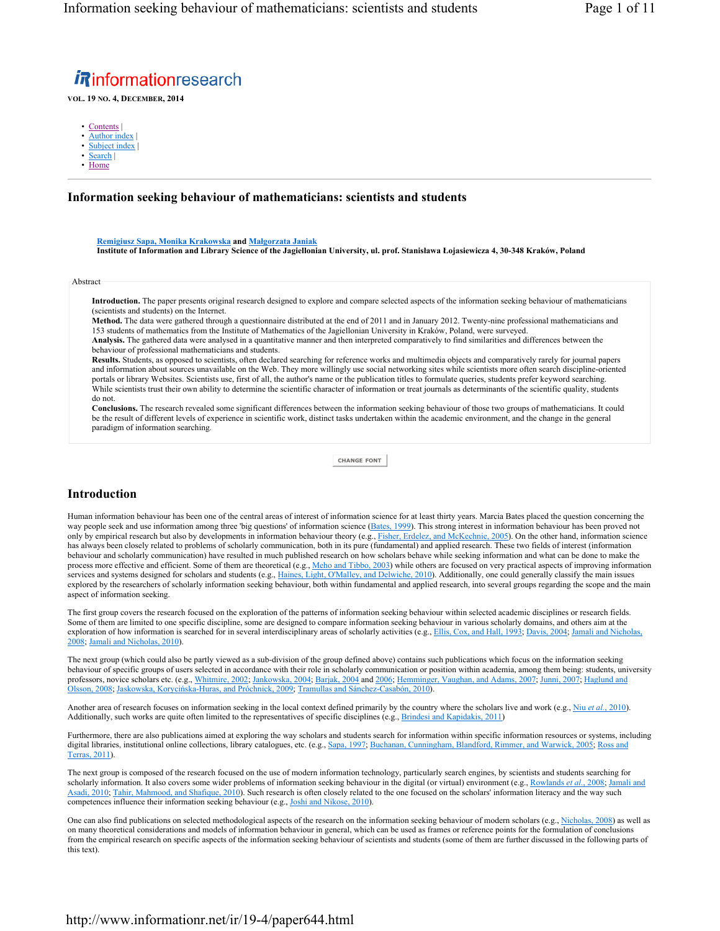# *i*Rinformationresearch

**VOL. 19 NO. 4, DECEMBER, 2014**

- Contents |
- Author index
- Subject index
- Search | • Home
- 

## **Information seeking behaviour of mathematicians: scientists and students**

**Remigiusz Sapa, Monika Krakowska and Małgorzata Janiak Institute of Information and Library Science of the Jagiellonian University, ul. prof. Stanisława Łojasiewicza 4, 30-348 Kraków, Poland**

Abstract

**Introduction.** The paper presents original research designed to explore and compare selected aspects of the information seeking behaviour of mathematicians (scientists and students) on the Internet.

**Method.** The data were gathered through a questionnaire distributed at the end of 2011 and in January 2012. Twenty-nine professional mathematicians and 153 students of mathematics from the Institute of Mathematics of the Jagiellonian University in Kraków, Poland, were surveyed.

**Analysis.** The gathered data were analysed in a quantitative manner and then interpreted comparatively to find similarities and differences between the behaviour of professional mathematicians and students.

**Results.** Students, as opposed to scientists, often declared searching for reference works and multimedia objects and comparatively rarely for journal papers and information about sources unavailable on the Web. They more willingly use social networking sites while scientists more often search discipline-oriented portals or library Websites. Scientists use, first of all, the author's name or the publication titles to formulate queries, students prefer keyword searching. While scientists trust their own ability to determine the scientific character of information or treat journals as determinants of the scientific quality, students do not.

**Conclusions.** The research revealed some significant differences between the information seeking behaviour of those two groups of mathematicians. It could be the result of different levels of experience in scientific work, distinct tasks undertaken within the academic environment, and the change in the general paradigm of information searching.

**CHANGE FONT**

# **Introduction**

Human information behaviour has been one of the central areas of interest of information science for at least thirty years. Marcia Bates placed the question concerning the way people seek and use information among three 'big questions' of information science (Bates, 1999). This strong interest in information behaviour has been proved not only by empirical research but also by developments in information behaviour theory (e.g., Fisher, Erdelez, and McKechnie, 2005). On the other hand, information science has always been closely related to problems of scholarly communication, both in its pure (fundamental) and applied research. These two fields of interest (information behaviour and scholarly communication) have resulted in much published research on how scholars behave while seeking information and what can be done to make the process more effective and efficient. Some of them are theoretical (e.g., Meho and Tibbo, 2003) while others are focused on very practical aspects of improving information services and systems designed for scholars and students (e.g., Haines, Light, O'Malley, and Delwiche, 2010). Additionally, one could generally classify the main issues explored by the researchers of scholarly information seeking behaviour, both within fundamental and applied research, into several groups regarding the scope and the main aspect of information seeking.

The first group covers the research focused on the exploration of the patterns of information seeking behaviour within selected academic disciplines or research fields. Some of them are limited to one specific discipline, some are designed to compare information seeking behaviour in various scholarly domains, and others aim at the exploration of how information is searched for in several interdisciplinary areas of scholarly activities (e.g., Ellis, Cox, and Hall, 1993; Davis, 2004; Jamali and Nicholas 2008; Jamali and Nicholas, 2010).

The next group (which could also be partly viewed as a sub-division of the group defined above) contains such publications which focus on the information seeking behaviour of specific groups of users selected in accordance with their role in scholarly communication or position within academia, among them being: students, university professors, novice scholars etc. (e.g., Whitmire, 2002; Jankowska, 2004; Barjak, 2004 and 2006; Hemminger, Vaughan, and Adams, 2007; Junni, 2007; Haglund and Olsson, 2008; Jaskowska, Korycińska-Huras, and Próchnick, 2009; Tramullas and Sánchez-Casabón, 2010).

Another area of research focuses on information seeking in the local context defined primarily by the country where the scholars live and work (e.g., Niu *et al.*, 2010). Additionally, such works are quite often limited to the representatives of specific disciplines (e.g., Brindesi and Kapidakis, 2011)

Furthermore, there are also publications aimed at exploring the way scholars and students search for information within specific information resources or systems, including digital libraries, institutional online collections, library catalogues, etc. (e.g., Sapa, 1997; Buchanan, Cunningham, Blandford, Rimmer, and Warwick, 2005; Ross and Terras, 2011).

The next group is composed of the research focused on the use of modern information technology, particularly search engines, by scientists and students searching for scholarly information. It also covers some wider problems of information seeking behaviour in the digital (or virtual) environment (e.g., Rowlands *et al.*, 2008; Jamali and Asadi, 2010; Tahir, Mahmood, and Shafique, 2010). Such research is often closely related to the one focused on the scholars' information literacy and the way such competences influence their information seeking behaviour (e.g., Joshi and Nikose, 2010).

One can also find publications on selected methodological aspects of the research on the information seeking behaviour of modern scholars (e.g., Nicholas, 2008) as well as on many theoretical considerations and models of information behaviour in general, which can be used as frames or reference points for the formulation of conclusions from the empirical research on specific aspects of the information seeking behaviour of scientists and students (some of them are further discussed in the following parts of this text).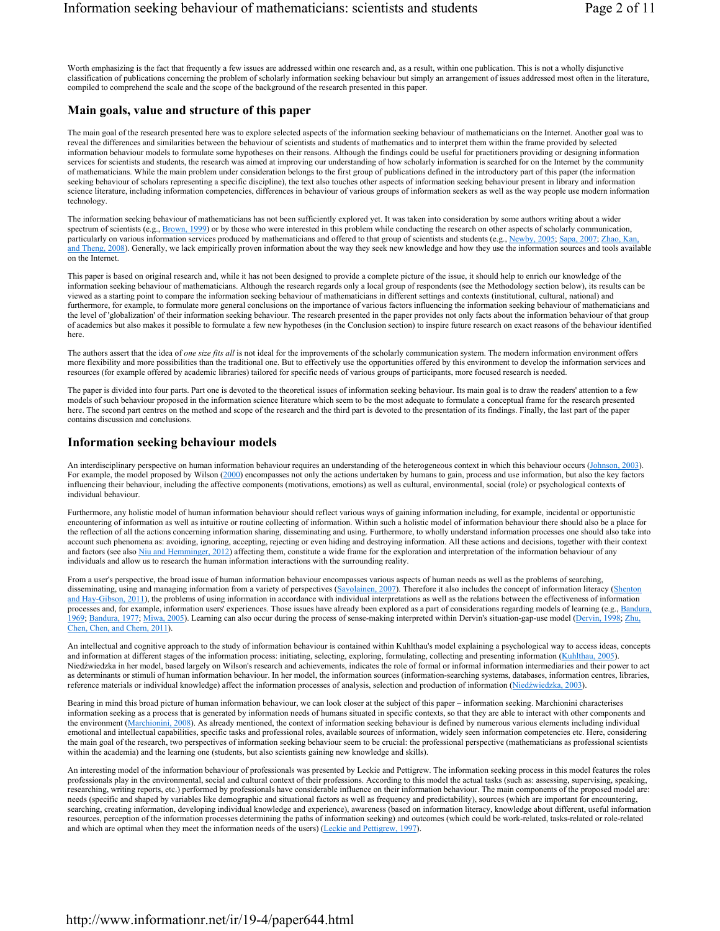Worth emphasizing is the fact that frequently a few issues are addressed within one research and, as a result, within one publication. This is not a wholly disjunctive classification of publications concerning the problem of scholarly information seeking behaviour but simply an arrangement of issues addressed most often in the literature, compiled to comprehend the scale and the scope of the background of the research presented in this paper.

# **Main goals, value and structure of this paper**

The main goal of the research presented here was to explore selected aspects of the information seeking behaviour of mathematicians on the Internet. Another goal was to reveal the differences and similarities between the behaviour of scientists and students of mathematics and to interpret them within the frame provided by selected information behaviour models to formulate some hypotheses on their reasons. Although the findings could be useful for practitioners providing or designing information services for scientists and students, the research was aimed at improving our understanding of how scholarly information is searched for on the Internet by the community of mathematicians. While the main problem under consideration belongs to the first group of publications defined in the introductory part of this paper (the information seeking behaviour of scholars representing a specific discipline), the text also touches other aspects of information seeking behaviour present in library and information science literature, including information competencies, differences in behaviour of various groups of information seekers as well as the way people use modern information technology.

The information seeking behaviour of mathematicians has not been sufficiently explored yet. It was taken into consideration by some authors writing about a wider spectrum of scientists (e.g.,  $Brown$ , 1999) or by those who were interested in this problem while conducting the research on other aspects of scholarly communication, particularly on various information services produced by mathematicians and offered to that group of scientists and students (e.g., Newby, 2005; Sapa, 2007; Zhao, Kan and Theng, 2008). Generally, we lack empirically proven information about the way they seek new knowledge and how they use the information sources and tools available on the Internet.

This paper is based on original research and, while it has not been designed to provide a complete picture of the issue, it should help to enrich our knowledge of the information seeking behaviour of mathematicians. Although the research regards only a local group of respondents (see the Methodology section below), its results can be viewed as a starting point to compare the information seeking behaviour of mathematicians in different settings and contexts (institutional, cultural, national) and furthermore, for example, to formulate more general conclusions on the importance of various factors influencing the information seeking behaviour of mathematicians and the level of 'globalization' of their information seeking behaviour. The research presented in the paper provides not only facts about the information behaviour of that group of academics but also makes it possible to formulate a few new hypotheses (in the Conclusion section) to inspire future research on exact reasons of the behaviour identified here.

The authors assert that the idea of *one size fits all* is not ideal for the improvements of the scholarly communication system. The modern information environment offers more flexibility and more possibilities than the traditional one. But to effectively use the opportunities offered by this environment to develop the information services and resources (for example offered by academic libraries) tailored for specific needs of various groups of participants, more focused research is needed.

The paper is divided into four parts. Part one is devoted to the theoretical issues of information seeking behaviour. Its main goal is to draw the readers' attention to a few models of such behaviour proposed in the information science literature which seem to be the most adequate to formulate a conceptual frame for the research presented here. The second part centres on the method and scope of the research and the third part is devoted to the presentation of its findings. Finally, the last part of the paper contains discussion and conclusions.

## **Information seeking behaviour models**

An interdisciplinary perspective on human information behaviour requires an understanding of the heterogeneous context in which this behaviour occurs (Johnson, 2003). For example, the model proposed by Wilson (2000) encompasses not only the actions undertaken by humans to gain, process and use information, but also the key factors influencing their behaviour, including the affective components (motivations, emotions) as well as cultural, environmental, social (role) or psychological contexts of individual behaviour.

Furthermore, any holistic model of human information behaviour should reflect various ways of gaining information including, for example, incidental or opportunistic encountering of information as well as intuitive or routine collecting of information. Within such a holistic model of information behaviour there should also be a place for the reflection of all the actions concerning information sharing, disseminating and using. Furthermore, to wholly understand information processes one should also take into account such phenomena as: avoiding, ignoring, accepting, rejecting or even hiding and destroying information. All these actions and decisions, together with their context and factors (see also Niu and Hemminger, 2012) affecting them, constitute a wide frame for the exploration and interpretation of the information behaviour of any individuals and allow us to research the human information interactions with the surrounding reality.

From a user's perspective, the broad issue of human information behaviour encompasses various aspects of human needs as well as the problems of searching, disseminating, using and managing information from a variety of perspectives (Savolainen, 2007). Therefore it also includes the concept of information literacy (Shenton and Hay-Gibson, 2011), the problems of using information in accordance with individual interpretations as well as the relations between the effectiveness of information processes and, for example, information users' experiences. Those issues have already been explored as a part of considerations regarding models of learning (e.g., Bandura, 1969; Bandura, 1977; Miwa, 2005). Learning can also occur during the process of sense-making interpreted within Dervin's situation-gap-use model (Dervin, 1998; Zhu, Chen, Chen, and Chern, 2011).

An intellectual and cognitive approach to the study of information behaviour is contained within Kuhlthau's model explaining a psychological way to access ideas, concepts and information at different stages of the information process: initiating, selecting, exploring, formulating, collecting and presenting information (Kuhlthau, 2005). Niedźwiedzka in her model, based largely on Wilson's research and achievements, indicates the role of formal or informal information intermediaries and their power to act as determinants or stimuli of human information behaviour. In her model, the information sources (information-searching systems, databases, information centres, libraries, reference materials or individual knowledge) affect the information processes of analysis, selection and production of information (Niedźwiedzka, 2003).

Bearing in mind this broad picture of human information behaviour, we can look closer at the subject of this paper – information seeking. Marchionini characterises information seeking as a process that is generated by information needs of humans situated in specific contexts, so that they are able to interact with other components and the environment (Marchionini, 2008). As already mentioned, the context of information seeking behaviour is defined by numerous various elements including individual emotional and intellectual capabilities, specific tasks and professional roles, available sources of information, widely seen information competencies etc. Here, considering the main goal of the research, two perspectives of information seeking behaviour seem to be crucial: the professional perspective (mathematicians as professional scientists within the academia) and the learning one (students, but also scientists gaining new knowledge and skills).

An interesting model of the information behaviour of professionals was presented by Leckie and Pettigrew. The information seeking process in this model features the roles professionals play in the environmental, social and cultural context of their professions. According to this model the actual tasks (such as: assessing, supervising, speaking, researching, writing reports, etc.) performed by professionals have considerable influence on their information behaviour. The main components of the proposed model are: needs (specific and shaped by variables like demographic and situational factors as well as frequency and predictability), sources (which are important for encountering, searching, creating information, developing individual knowledge and experience), awareness (based on information literacy, knowledge about different, useful information resources, perception of the information processes determining the paths of information seeking) and outcomes (which could be work-related, tasks-related or role-related and which are optimal when they meet the information needs of the users) (Leckie and Pettigrew, 1997).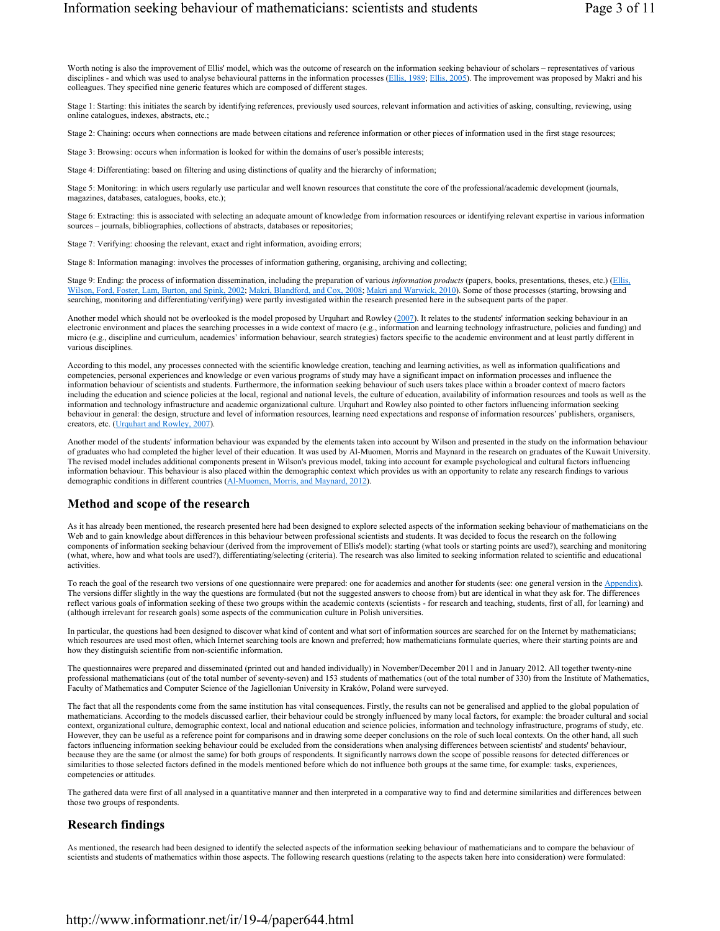Worth noting is also the improvement of Ellis' model, which was the outcome of research on the information seeking behaviour of scholars – representatives of various disciplines - and which was used to analyse behavioural patterns in the information processes (Ellis, 1989; Ellis, 2005). The improvement was proposed by Makri and his colleagues. They specified nine generic features which are composed of different stages.

Stage 1: Starting: this initiates the search by identifying references, previously used sources, relevant information and activities of asking, consulting, reviewing, using online catalogues, indexes, abstracts, etc.;

Stage 2: Chaining: occurs when connections are made between citations and reference information or other pieces of information used in the first stage resources;

Stage 3: Browsing: occurs when information is looked for within the domains of user's possible interests;

Stage 4: Differentiating: based on filtering and using distinctions of quality and the hierarchy of information;

Stage 5: Monitoring: in which users regularly use particular and well known resources that constitute the core of the professional/academic development (journals, magazines, databases, catalogues, books, etc.);

Stage 6: Extracting: this is associated with selecting an adequate amount of knowledge from information resources or identifying relevant expertise in various information sources – journals, bibliographies, collections of abstracts, databases or repositories;

Stage 7: Verifying: choosing the relevant, exact and right information, avoiding errors;

Stage 8: Information managing: involves the processes of information gathering, organising, archiving and collecting;

Stage 9: Ending: the process of information dissemination, including the preparation of various *information products* (papers, books, presentations, theses, etc.) (Ellis, Wilson, Ford, Foster, Lam, Burton, and Spink, 2002; Makri, Blandford, and Cox, 2008; Makri and Warwick, 2010). Some of those processes (starting, browsing and searching, monitoring and differentiating/verifying) were partly investigated within the research presented here in the subsequent parts of the paper.

Another model which should not be overlooked is the model proposed by Urquhart and Rowley (2007). It relates to the students' information seeking behaviour in an electronic environment and places the searching processes in a wide context of macro (e.g., information and learning technology infrastructure, policies and funding) and micro (e.g., discipline and curriculum, academics' information behaviour, search strategies) factors specific to the academic environment and at least partly different in various disciplines.

According to this model, any processes connected with the scientific knowledge creation, teaching and learning activities, as well as information qualifications and competencies, personal experiences and knowledge or even various programs of study may have a significant impact on information processes and influence the information behaviour of scientists and students. Furthermore, the information seeking behaviour of such users takes place within a broader context of macro factors including the education and science policies at the local, regional and national levels, the culture of education, availability of information resources and tools as well as the information and technology infrastructure and academic organizational culture. Urquhart and Rowley also pointed to other factors influencing information seeking behaviour in general: the design, structure and level of information resources, learning need expectations and response of information resources' publishers, organisers, creators, etc. (Urquhart and Rowley, 2007).

Another model of the students' information behaviour was expanded by the elements taken into account by Wilson and presented in the study on the information behaviour of graduates who had completed the higher level of their education. It was used by Al-Muomen, Morris and Maynard in the research on graduates of the Kuwait University. The revised model includes additional components present in Wilson's previous model, taking into account for example psychological and cultural factors influencing information behaviour. This behaviour is also placed within the demographic context which provides us with an opportunity to relate any research findings to various demographic conditions in different countries (Al-Muomen, Morris, and Maynard, 2012).

# **Method and scope of the research**

As it has already been mentioned, the research presented here had been designed to explore selected aspects of the information seeking behaviour of mathematicians on the Web and to gain knowledge about differences in this behaviour between professional scientists and students. It was decided to focus the research on the following components of information seeking behaviour (derived from the improvement of Ellis's model): starting (what tools or starting points are used?), searching and monitoring (what, where, how and what tools are used?), differentiating/selecting (criteria). The research was also limited to seeking information related to scientific and educational activities.

To reach the goal of the research two versions of one questionnaire were prepared: one for academics and another for students (see: one general version in the Appendix). The versions differ slightly in the way the questions are formulated (but not the suggested answers to choose from) but are identical in what they ask for. The differences reflect various goals of information seeking of these two groups within the academic contexts (scientists - for research and teaching, students, first of all, for learning) and (although irrelevant for research goals) some aspects of the communication culture in Polish universities.

In particular, the questions had been designed to discover what kind of content and what sort of information sources are searched for on the Internet by mathematicians; which resources are used most often, which Internet searching tools are known and preferred; how mathematicians formulate queries, where their starting points are and how they distinguish scientific from non-scientific information.

The questionnaires were prepared and disseminated (printed out and handed individually) in November/December 2011 and in January 2012. All together twenty-nine professional mathematicians (out of the total number of seventy-seven) and 153 students of mathematics (out of the total number of 330) from the Institute of Mathematics, Faculty of Mathematics and Computer Science of the Jagiellonian University in Kraków, Poland were surveyed.

The fact that all the respondents come from the same institution has vital consequences. Firstly, the results can not be generalised and applied to the global population of mathematicians. According to the models discussed earlier, their behaviour could be strongly influenced by many local factors, for example: the broader cultural and social context, organizational culture, demographic context, local and national education and science policies, information and technology infrastructure, programs of study, etc. However, they can be useful as a reference point for comparisons and in drawing some deeper conclusions on the role of such local contexts. On the other hand, all such factors influencing information seeking behaviour could be excluded from the considerations when analysing differences between scientists' and students' behaviour, because they are the same (or almost the same) for both groups of respondents. It significantly narrows down the scope of possible reasons for detected differences or similarities to those selected factors defined in the models mentioned before which do not influence both groups at the same time, for example: tasks, experiences, competencies or attitudes.

The gathered data were first of all analysed in a quantitative manner and then interpreted in a comparative way to find and determine similarities and differences between those two groups of respondents.

# **Research findings**

As mentioned, the research had been designed to identify the selected aspects of the information seeking behaviour of mathematicians and to compare the behaviour of scientists and students of mathematics within those aspects. The following research questions (relating to the aspects taken here into consideration) were formulated: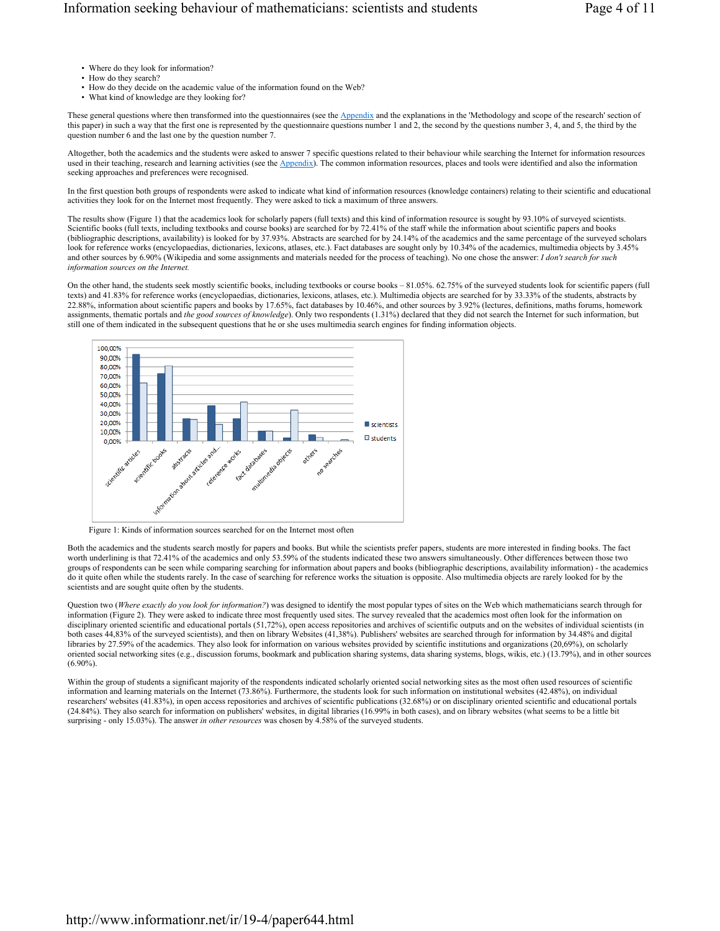- Where do they look for information?
- How do they search?
- How do they decide on the academic value of the information found on the Web?
- What kind of knowledge are they looking for?

These general questions where then transformed into the questionnaires (see the **Appendix** and the explanations in the 'Methodology and scope of the research' section of this paper) in such a way that the first one is represented by the questionnaire questions number 1 and 2, the second by the questions number 3, 4, and 5, the third by the question number 6 and the last one by the question number 7.

Altogether, both the academics and the students were asked to answer 7 specific questions related to their behaviour while searching the Internet for information resources used in their teaching, research and learning activities (see the Appendix). The common information resources, places and tools were identified and also the information seeking approaches and preferences were recognised.

In the first question both groups of respondents were asked to indicate what kind of information resources (knowledge containers) relating to their scientific and educational activities they look for on the Internet most frequently. They were asked to tick a maximum of three answers.

The results show (Figure 1) that the academics look for scholarly papers (full texts) and this kind of information resource is sought by 93.10% of surveyed scientists. Scientific books (full texts, including textbooks and course books) are searched for by 72.41% of the staff while the information about scientific papers and books (bibliographic descriptions, availability) is looked for by 37.93%. Abstracts are searched for by 24.14% of the academics and the same percentage of the surveyed scholars look for reference works (encyclopaedias, dictionaries, lexicons, atlases, etc.). Fact databases are sought only by 10.34% of the academics, multimedia objects by 3.45% and other sources by 6.90% (Wikipedia and some assignments and materials needed for the process of teaching). No one chose the answer: *I don't search for such information sources on the Internet.*

On the other hand, the students seek mostly scientific books, including textbooks or course books – 81.05%. 62.75% of the surveyed students look for scientific papers (full texts) and 41.83% for reference works (encyclopaedias, dictionaries, lexicons, atlases, etc.). Multimedia objects are searched for by 33.33% of the students, abstracts by 22.88%, information about scientific papers and books by 17.65%, fact databases by 10.46%, and other sources by 3.92% (lectures, definitions, maths forums, homework assignments, thematic portals and *the good sources of knowledge*). Only two respondents (1.31%) declared that they did not search the Internet for such information, but still one of them indicated in the subsequent questions that he or she uses multimedia search engines for finding information objects.



Figure 1: Kinds of information sources searched for on the Internet most often

Both the academics and the students search mostly for papers and books. But while the scientists prefer papers, students are more interested in finding books. The fact worth underlining is that 72.41% of the academics and only 53.59% of the students indicated these two answers simultaneously. Other differences between those two groups of respondents can be seen while comparing searching for information about papers and books (bibliographic descriptions, availability information) - the academics do it quite often while the students rarely. In the case of searching for reference works the situation is opposite. Also multimedia objects are rarely looked for by the scientists and are sought quite often by the students.

Question two (*Where exactly do you look for information?*) was designed to identify the most popular types of sites on the Web which mathematicians search through for information (Figure 2). They were asked to indicate three most frequently used sites. The survey revealed that the academics most often look for the information on disciplinary oriented scientific and educational portals (51,72%), open access repositories and archives of scientific outputs and on the websites of individual scientists (in both cases 44,83% of the surveyed scientists), and then on library Websites (41,38%). Publishers' websites are searched through for information by 34.48% and digital libraries by 27.59% of the academics. They also look for information on various websites provided by scientific institutions and organizations (20,69%), on scholarly oriented social networking sites (e.g., discussion forums, bookmark and publication sharing systems, data sharing systems, blogs, wikis, etc.) (13.79%), and in other sources (6.90%).

Within the group of students a significant majority of the respondents indicated scholarly oriented social networking sites as the most often used resources of scientific information and learning materials on the Internet (73.86%). Furthermore, the students look for such information on institutional websites (42.48%), on individual researchers' websites (41.83%), in open access repositories and archives of scientific publications (32.68%) or on disciplinary oriented scientific and educational portals (24.84%). They also search for information on publishers' websites, in digital libraries (16.99% in both cases), and on library websites (what seems to be a little bit surprising - only 15.03%). The answer *in other resources* was chosen by 4.58% of the surveyed students.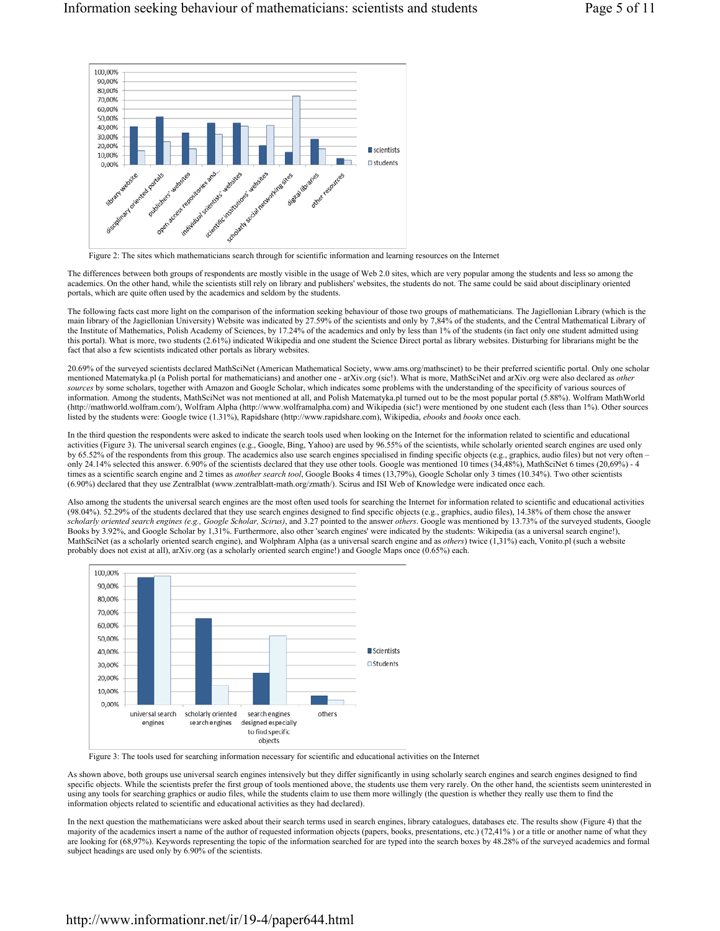

Figure 2: The sites which mathematicians search through for scientific information and learning resources on the Internet

The differences between both groups of respondents are mostly visible in the usage of Web 2.0 sites, which are very popular among the students and less so among the academics. On the other hand, while the scientists still rely on library and publishers' websites, the students do not. The same could be said about disciplinary oriented portals, which are quite often used by the academics and seldom by the students.

The following facts cast more light on the comparison of the information seeking behaviour of those two groups of mathematicians. The Jagiellonian Library (which is the main library of the Jagiellonian University) Website was indicated by 27.59% of the scientists and only by 7,84% of the students, and the Central Mathematical Library of the Institute of Mathematics, Polish Academy of Sciences, by 17.24% of the academics and only by less than 1% of the students (in fact only one student admitted using this portal). What is more, two students (2.61%) indicated Wikipedia and one student the Science Direct portal as library websites. Disturbing for librarians might be the fact that also a few scientists indicated other portals as library websites.

20.69% of the surveyed scientists declared MathSciNet (American Mathematical Society, www.ams.org/mathscinet) to be their preferred scientific portal. Only one scholar mentioned Matematyka.pl (a Polish portal for mathematicians) and another one - arXiv.org (sic!). What is more, MathSciNet and arXiv.org were also declared as *other sources* by some scholars, together with Amazon and Google Scholar, which indicates some problems with the understanding of the specificity of various sources of information. Among the students, MathSciNet was not mentioned at all, and Polish Matematyka.pl turned out to be the most popular portal (5.88%). Wolfram MathWorld (http://mathworld.wolfram.com/), Wolfram Alpha (http://www.wolframalpha.com) and Wikipedia (sic!) were mentioned by one student each (less than 1%). Other sources listed by the students were: Google twice (1.31%), Rapidshare (http://www.rapidshare.com), Wikipedia, *ebooks* and *books* once each.

In the third question the respondents were asked to indicate the search tools used when looking on the Internet for the information related to scientific and educational activities (Figure 3). The universal search engines (e.g., Google, Bing, Yahoo) are used by 96.55% of the scientists, while scholarly oriented search engines are used only by 65.52% of the respondents from this group. The academics also use search engines specialised in finding specific objects (e.g., graphics, audio files) but not very often – only 24.14% selected this answer. 6.90% of the scientists declared that they use other tools. Google was mentioned 10 times (34,48%), MathSciNet 6 times (20,69%) - 4 times as a scientific search engine and 2 times as *another search tool*, Google Books 4 times (13,79%), Google Scholar only 3 times (10.34%). Two other scientists (6.90%) declared that they use Zentralblat (www.zentralblatt-math.org/zmath/). Scirus and ISI Web of Knowledge were indicated once each.

Also among the students the universal search engines are the most often used tools for searching the Internet for information related to scientific and educational activities (98.04%). 52.29% of the students declared that they use search engines designed to find specific objects (e.g., graphics, audio files), 14.38% of them chose the answer *scholarly oriented search engines (e.g., Google Scholar, Scirus)*, and 3.27 pointed to the answer *others*. Google was mentioned by 13.73% of the surveyed students, Google Books by 3.92%, and Google Scholar by 1,31%. Furthermore, also other 'search engines' were indicated by the students: Wikipedia (as a universal search engine!), MathSciNet (as a scholarly oriented search engine), and Wolphram Alpha (as a universal search engine and as *others*) twice (1,31%) each, Vonito.pl (such a website probably does not exist at all), arXiv.org (as a scholarly oriented search engine!) and Google Maps once (0.65%) each.



Figure 3: The tools used for searching information necessary for scientific and educational activities on the Internet

As shown above, both groups use universal search engines intensively but they differ significantly in using scholarly search engines and search engines designed to find specific objects. While the scientists prefer the first group of tools mentioned above, the students use them very rarely. On the other hand, the scientists seem uninterested in using any tools for searching graphics or audio files, while the students claim to use them more willingly (the question is whether they really use them to find the information objects related to scientific and educational activities as they had declared).

In the next question the mathematicians were asked about their search terms used in search engines, library catalogues, databases etc. The results show (Figure 4) that the majority of the academics insert a name of the author of requested information objects (papers, books, presentations, etc.) (72,41% ) or a title or another name of what they are looking for (68,97%). Keywords representing the topic of the information searched for are typed into the search boxes by 48.28% of the surveyed academics and formal subject headings are used only by 6.90% of the scientists.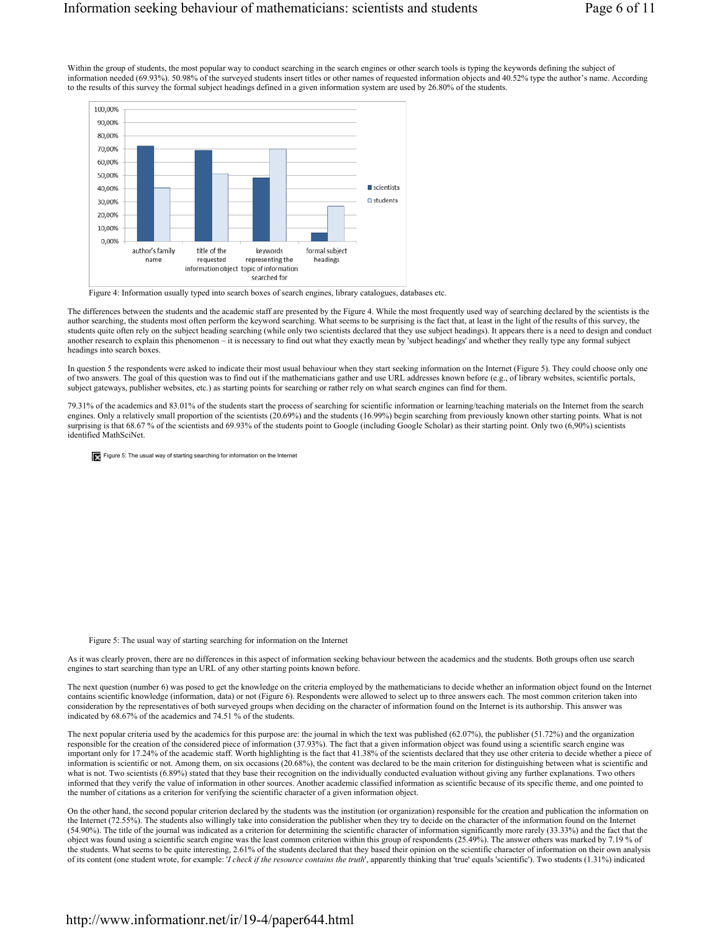Within the group of students, the most popular way to conduct searching in the search engines or other search tools is typing the keywords defining the subject of information needed (69.93%). 50.98% of the surveyed students insert titles or other names of requested information objects and 40.52% type the author's name. According to the results of this survey the formal subject headings defined in a given information system are used by 26.80% of the students.



Figure 4: Information usually typed into search boxes of search engines, library catalogues, databases etc.

The differences between the students and the academic staff are presented by the Figure 4. While the most frequently used way of searching declared by the scientists is the author searching, the students most often perform the keyword searching. What seems to be surprising is the fact that, at least in the light of the results of this survey, the students quite often rely on the subject heading searching (while only two scientists declared that they use subject headings). It appears there is a need to design and conduct another research to explain this phenomenon – it is necessary to find out what they exactly mean by 'subject headings' and whether they really type any formal subject headings into search boxes.

In question 5 the respondents were asked to indicate their most usual behaviour when they start seeking information on the Internet (Figure 5). They could choose only one of two answers. The goal of this question was to find out if the mathematicians gather and use URL addresses known before (e.g., of library websites, scientific portals, subject gateways, publisher websites, etc.) as starting points for searching or rather rely on what search engines can find for them.

79.31% of the academics and 83.01% of the students start the process of searching for scientific information or learning/teaching materials on the Internet from the search engines. Only a relatively small proportion of the scientists (20.69%) and the students (16.99%) begin searching from previously known other starting points. What is not surprising is that 68.67 % of the scientists and 69.93% of the students point to Google (including Google Scholar) as their starting point. Only two (6,90%) scientists identified MathSciNet.

Figure 5: The usual way of starting searching for information on the Internet

Figure 5: The usual way of starting searching for information on the Internet

As it was clearly proven, there are no differences in this aspect of information seeking behaviour between the academics and the students. Both groups often use search engines to start searching than type an URL of any other starting points known before.

The next question (number 6) was posed to get the knowledge on the criteria employed by the mathematicians to decide whether an information object found on the Internet contains scientific knowledge (information, data) or not (Figure 6). Respondents were allowed to select up to three answers each. The most common criterion taken into consideration by the representatives of both surveyed groups when deciding on the character of information found on the Internet is its authorship. This answer was indicated by 68.67% of the academics and 74.51 % of the students.

The next popular criteria used by the academics for this purpose are: the journal in which the text was published (62.07%), the publisher (51.72%) and the organization responsible for the creation of the considered piece of information (37.93%). The fact that a given information object was found using a scientific search engine was important only for 17.24% of the academic staff. Worth highlighting is the fact that 41.38% of the scientists declared that they use other criteria to decide whether a piece of information is scientific or not. Among them, on six occasions (20.68%), the content was declared to be the main criterion for distinguishing between what is scientific and what is not. Two scientists (6.89%) stated that they base their recognition on the individually conducted evaluation without giving any further explanations. Two others informed that they verify the value of information in other sources. Another academic classified information as scientific because of its specific theme, and one pointed to the number of citations as a criterion for verifying the scientific character of a given information object.

On the other hand, the second popular criterion declared by the students was the institution (or organization) responsible for the creation and publication the information on the Internet (72.55%). The students also willingly take into consideration the publisher when they try to decide on the character of the information found on the Internet (54.90%). The title of the journal was indicated as a criterion for determining the scientific character of information significantly more rarely (33.33%) and the fact that the object was found using a scientific search engine was the least common criterion within this group of respondents (25.49%). The answer others was marked by 7.19 % of the students. What seems to be quite interesting, 2.61% of the students declared that they based their opinion on the scientific character of information on their own analysis of its content (one student wrote, for example: '*I check if the resource contains the truth*', apparently thinking that 'true' equals 'scientific'). Two students (1.31%) indicated

# http://www.informationr.net/ir/19-4/paper644.html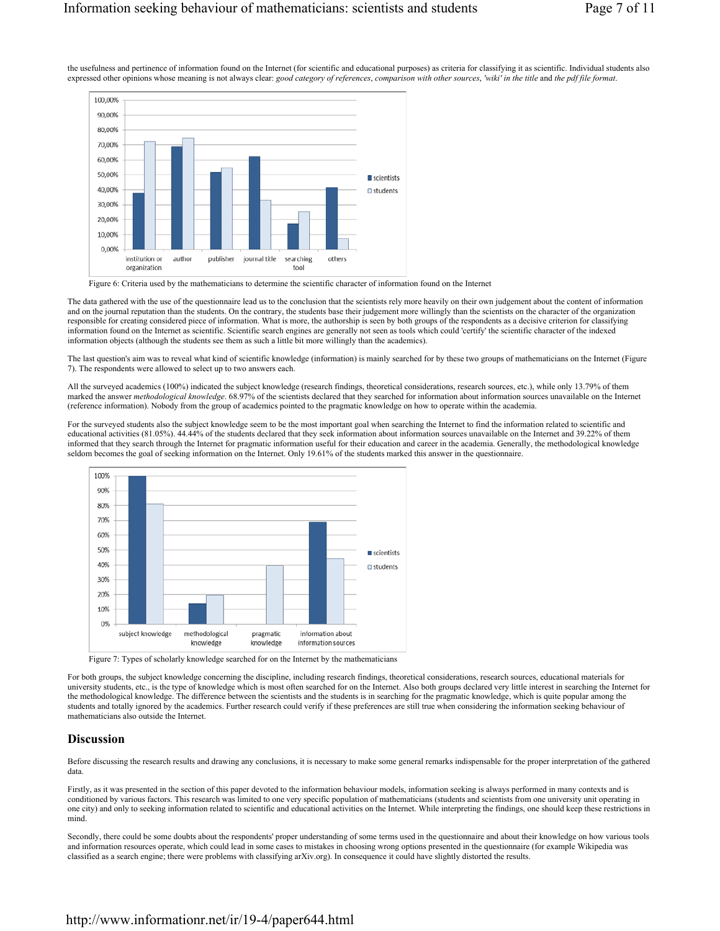the usefulness and pertinence of information found on the Internet (for scientific and educational purposes) as criteria for classifying it as scientific. Individual students also expressed other opinions whose meaning is not always clear: *good category of references*, *comparison with other sources*, *'wiki' in the title* and *the pdf file format*.



Figure 6: Criteria used by the mathematicians to determine the scientific character of information found on the Internet

The data gathered with the use of the questionnaire lead us to the conclusion that the scientists rely more heavily on their own judgement about the content of information and on the journal reputation than the students. On the contrary, the students base their judgement more willingly than the scientists on the character of the organization responsible for creating considered piece of information. What is more, the authorship is seen by both groups of the respondents as a decisive criterion for classifying information found on the Internet as scientific. Scientific search engines are generally not seen as tools which could 'certify' the scientific character of the indexed information objects (although the students see them as such a little bit more willingly than the academics).

The last question's aim was to reveal what kind of scientific knowledge (information) is mainly searched for by these two groups of mathematicians on the Internet (Figure 7). The respondents were allowed to select up to two answers each.

All the surveyed academics (100%) indicated the subject knowledge (research findings, theoretical considerations, research sources, etc.), while only 13.79% of them marked the answer *methodological knowledge*. 68.97% of the scientists declared that they searched for information about information sources unavailable on the Internet (reference information). Nobody from the group of academics pointed to the pragmatic knowledge on how to operate within the academia.

For the surveyed students also the subject knowledge seem to be the most important goal when searching the Internet to find the information related to scientific and educational activities (81.05%). 44.44% of the students declared that they seek information about information sources unavailable on the Internet and 39.22% of them informed that they search through the Internet for pragmatic information useful for their education and career in the academia. Generally, the methodological knowledge seldom becomes the goal of seeking information on the Internet. Only 19.61% of the students marked this answer in the questionnaire.



Figure 7: Types of scholarly knowledge searched for on the Internet by the mathematicians

For both groups, the subject knowledge concerning the discipline, including research findings, theoretical considerations, research sources, educational materials for university students, etc., is the type of knowledge which is most often searched for on the Internet. Also both groups declared very little interest in searching the Internet for the methodological knowledge. The difference between the scientists and the students is in searching for the pragmatic knowledge, which is quite popular among the students and totally ignored by the academics. Further research could verify if these preferences are still true when considering the information seeking behaviour of mathematicians also outside the Internet.

#### **Discussion**

Before discussing the research results and drawing any conclusions, it is necessary to make some general remarks indispensable for the proper interpretation of the gathered data.

Firstly, as it was presented in the section of this paper devoted to the information behaviour models, information seeking is always performed in many contexts and is conditioned by various factors. This research was limited to one very specific population of mathematicians (students and scientists from one university unit operating in one city) and only to seeking information related to scientific and educational activities on the Internet. While interpreting the findings, one should keep these restrictions in mind.

Secondly, there could be some doubts about the respondents' proper understanding of some terms used in the questionnaire and about their knowledge on how various tools and information resources operate, which could lead in some cases to mistakes in choosing wrong options presented in the questionnaire (for example Wikipedia was classified as a search engine; there were problems with classifying arXiv.org). In consequence it could have slightly distorted the results.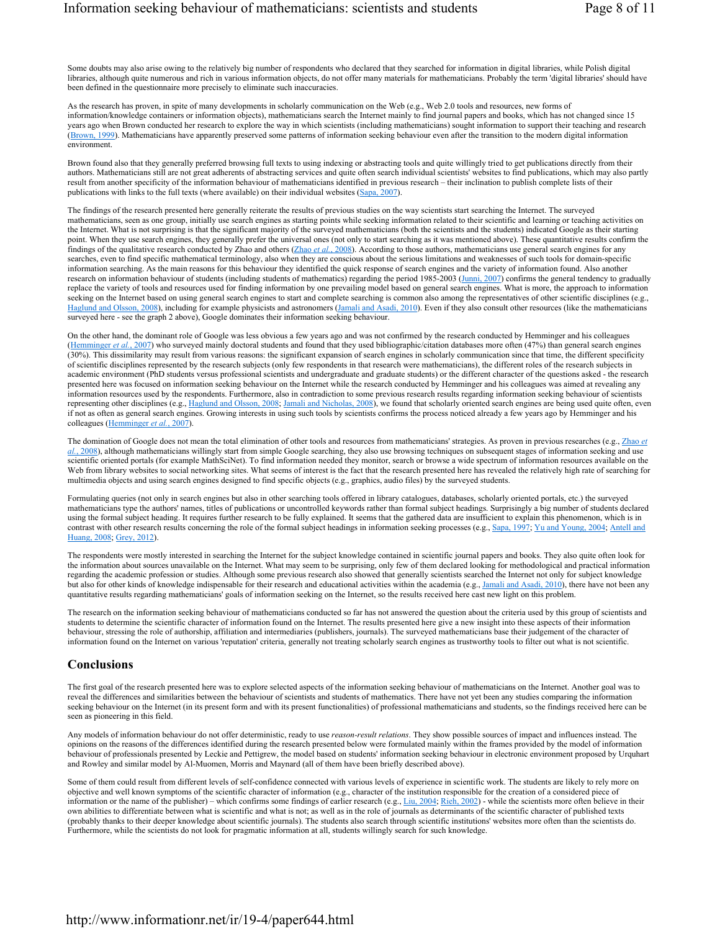Some doubts may also arise owing to the relatively big number of respondents who declared that they searched for information in digital libraries, while Polish digital libraries, although quite numerous and rich in various information objects, do not offer many materials for mathematicians. Probably the term 'digital libraries' should have been defined in the questionnaire more precisely to eliminate such inaccuracies.

As the research has proven, in spite of many developments in scholarly communication on the Web (e.g., Web 2.0 tools and resources, new forms of information/knowledge containers or information objects), mathematicians search the Internet mainly to find journal papers and books, which has not changed since 15 years ago when Brown conducted her research to explore the way in which scientists (including mathematicians) sought information to support their teaching and research (Brown, 1999). Mathematicians have apparently preserved some patterns of information seeking behaviour even after the transition to the modern digital information environment.

Brown found also that they generally preferred browsing full texts to using indexing or abstracting tools and quite willingly tried to get publications directly from their authors. Mathematicians still are not great adherents of abstracting services and quite often search individual scientists' websites to find publications, which may also partly result from another specificity of the information behaviour of mathematicians identified in previous research – their inclination to publish complete lists of their publications with links to the full texts (where available) on their individual websites (Sapa, 2007).

The findings of the research presented here generally reiterate the results of previous studies on the way scientists start searching the Internet. The surveyed mathematicians, seen as one group, initially use search engines as starting points while seeking information related to their scientific and learning or teaching activities on the Internet. What is not surprising is that the significant majority of the surveyed mathematicians (both the scientists and the students) indicated Google as their starting point. When they use search engines, they generally prefer the universal ones (not only to start searching as it was mentioned above). These quantitative results confirm the findings of the qualitative research conducted by Zhao and others (Zhao *et al.*, 2008). According to those authors, mathematicians use general search engines for any searches, even to find specific mathematical terminology, also when they are conscious about the serious limitations and weaknesses of such tools for domain-specific information searching. As the main reasons for this behaviour they identified the quick response of search engines and the variety of information found. Also another research on information behaviour of students (including students of mathematics) regarding the period 1985-2003 (Junni, 2007) confirms the general tendency to gradually replace the variety of tools and resources used for finding information by one prevailing model based on general search engines. What is more, the approach to information seeking on the Internet based on using general search engines to start and complete searching is common also among the representatives of other scientific disciplines (e.g., Haglund and Olsson, 2008), including for example physicists and astronomers (Jamali and Asadi, 2010). Even if they also consult other resources (like the mathematicians surveyed here - see the graph 2 above), Google dominates their information seeking behaviour.

On the other hand, the dominant role of Google was less obvious a few years ago and was not confirmed by the research conducted by Hemminger and his colleagues (Hemminger *et al.*, 2007) who surveyed mainly doctoral students and found that they used bibliographic/citation databases more often (47%) than general search engines (30%). This dissimilarity may result from various reasons: the significant expansion of search engines in scholarly communication since that time, the different specificity of scientific disciplines represented by the research subjects (only few respondents in that research were mathematicians), the different roles of the research subjects in academic environment (PhD students versus professional scientists and undergraduate and graduate students) or the different character of the questions asked - the research presented here was focused on information seeking behaviour on the Internet while the research conducted by Hemminger and his colleagues was aimed at revealing any information resources used by the respondents. Furthermore, also in contradiction to some previous research results regarding information seeking behaviour of scientists representing other disciplines (e.g., Haglund and Olsson, 2008; Jamali and Nicholas, 2008), we found that scholarly oriented search engines are being used quite often, even if not as often as general search engines. Growing interests in using such tools by scientists confirms the process noticed already a few years ago by Hemminger and his colleagues (Hemminger *et al.*, 2007).

The domination of Google does not mean the total elimination of other tools and resources from mathematicians' strategies. As proven in previous researches (e.g., Zhao et *al.*, 2008), although mathematicians willingly start from simple Google searching, they also use browsing techniques on subsequent stages of information seeking and use scientific oriented portals (for example MathSciNet). To find information needed they monitor, search or browse a wide spectrum of information resources available on the Web from library websites to social networking sites. What seems of interest is the fact that the research presented here has revealed the relatively high rate of searching for multimedia objects and using search engines designed to find specific objects (e.g., graphics, audio files) by the surveyed students.

Formulating queries (not only in search engines but also in other searching tools offered in library catalogues, databases, scholarly oriented portals, etc.) the surveyed mathematicians type the authors' names, titles of publications or uncontrolled keywords rather than formal subject headings. Surprisingly a big number of students declared using the formal subject heading. It requires further research to be fully explained. It seems that the gathered data are insufficient to explain this phenomenon, which is in contrast with other research results concerning the role of the formal subject headings in information seeking processes (e.g., Sapa, 1997; Yu and Young, 2004; Antell and Huang, 2008; Grey, 2012).

The respondents were mostly interested in searching the Internet for the subject knowledge contained in scientific journal papers and books. They also quite often look for the information about sources unavailable on the Internet. What may seem to be surprising, only few of them declared looking for methodological and practical information regarding the academic profession or studies. Although some previous research also showed that generally scientists searched the Internet not only for subject knowledge but also for other kinds of knowledge indispensable for their research and educational activities within the academia (e.g., Jamali and Asadi, 2010), there have not been any quantitative results regarding mathematicians' goals of information seeking on the Internet, so the results received here cast new light on this problem.

The research on the information seeking behaviour of mathematicians conducted so far has not answered the question about the criteria used by this group of scientists and students to determine the scientific character of information found on the Internet. The results presented here give a new insight into these aspects of their information behaviour, stressing the role of authorship, affiliation and intermediaries (publishers, journals). The surveyed mathematicians base their judgement of the character of information found on the Internet on various 'reputation' criteria, generally not treating scholarly search engines as trustworthy tools to filter out what is not scientific.

#### **Conclusions**

The first goal of the research presented here was to explore selected aspects of the information seeking behaviour of mathematicians on the Internet. Another goal was to reveal the differences and similarities between the behaviour of scientists and students of mathematics. There have not yet been any studies comparing the information seeking behaviour on the Internet (in its present form and with its present functionalities) of professional mathematicians and students, so the findings received here can be seen as pioneering in this field.

Any models of information behaviour do not offer deterministic, ready to use *reason-result relations*. They show possible sources of impact and influences instead. The opinions on the reasons of the differences identified during the research presented below were formulated mainly within the frames provided by the model of information behaviour of professionals presented by Leckie and Pettigrew, the model based on students' information seeking behaviour in electronic environment proposed by Urquhart and Rowley and similar model by Al-Muomen, Morris and Maynard (all of them have been briefly described above).

Some of them could result from different levels of self-confidence connected with various levels of experience in scientific work. The students are likely to rely more on objective and well known symptoms of the scientific character of information (e.g., character of the institution responsible for the creation of a considered piece of information or the name of the publisher) – which confirms some findings of earlier research (e.g., Liu, 2004; Rieh, 2002) - while the scientists more often believe in their own abilities to differentiate between what is scientific and what is not; as well as in the role of journals as determinants of the scientific character of published texts (probably thanks to their deeper knowledge about scientific journals). The students also search through scientific institutions' websites more often than the scientists do. Furthermore, while the scientists do not look for pragmatic information at all, students willingly search for such knowledge.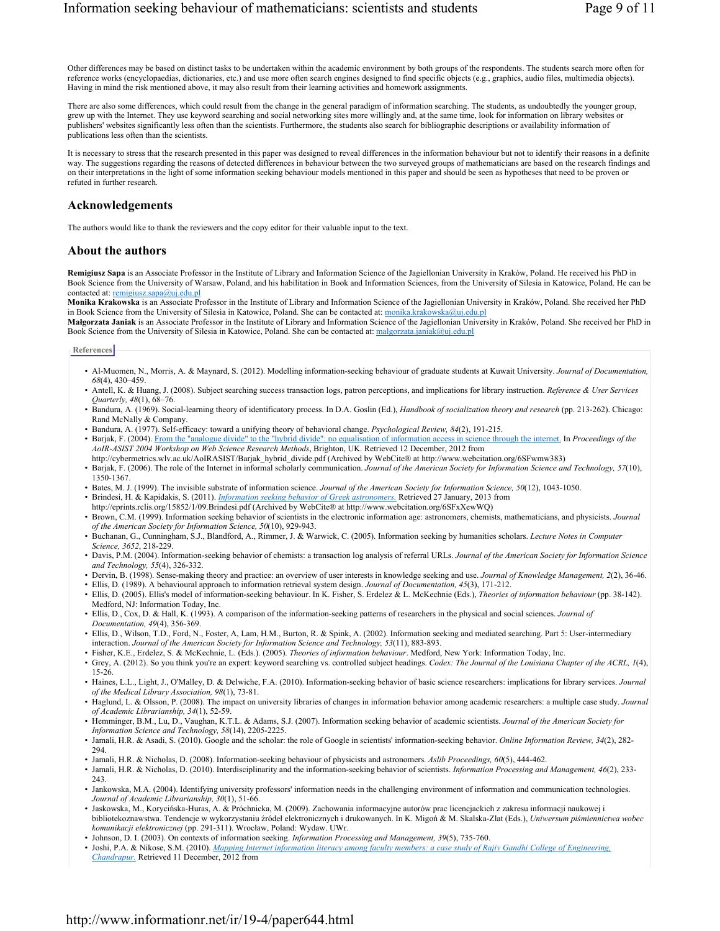Other differences may be based on distinct tasks to be undertaken within the academic environment by both groups of the respondents. The students search more often for reference works (encyclopaedias, dictionaries, etc.) and use more often search engines designed to find specific objects (e.g., graphics, audio files, multimedia objects). Having in mind the risk mentioned above, it may also result from their learning activities and homework assignments.

There are also some differences, which could result from the change in the general paradigm of information searching. The students, as undoubtedly the younger group, grew up with the Internet. They use keyword searching and social networking sites more willingly and, at the same time, look for information on library websites or publishers' websites significantly less often than the scientists. Furthermore, the students also search for bibliographic descriptions or availability information of publications less often than the scientists.

It is necessary to stress that the research presented in this paper was designed to reveal differences in the information behaviour but not to identify their reasons in a definite way. The suggestions regarding the reasons of detected differences in behaviour between the two surveyed groups of mathematicians are based on the research findings and on their interpretations in the light of some information seeking behaviour models mentioned in this paper and should be seen as hypotheses that need to be proven or refuted in further research.

## **Acknowledgements**

The authors would like to thank the reviewers and the copy editor for their valuable input to the text.

#### **About the authors**

**Remigiusz Sapa** is an Associate Professor in the Institute of Library and Information Science of the Jagiellonian University in Kraków, Poland. He received his PhD in Book Science from the University of Warsaw, Poland, and his habilitation in Book and Information Sciences, from the University of Silesia in Katowice, Poland. He can be contacted at: remigiusz.sapa@uj.edu.pl

**Monika Krakowska** is an Associate Professor in the Institute of Library and Information Science of the Jagiellonian University in Kraków, Poland. She received her PhD in Book Science from the University of Silesia in Katowice, Poland. She can be contacted at: monika.krakowska@uj.edu.pl

**Małgorzata Janiak** is an Associate Professor in the Institute of Library and Information Science of the Jagiellonian University in Kraków, Poland. She received her PhD in Book Science from the University of Silesia in Katowice, Poland. She can be contacted at: malgorzata.janiak@uj.edu.pl

#### **References**

- Al-Muomen, N., Morris, A. & Maynard, S. (2012). Modelling information-seeking behaviour of graduate students at Kuwait University. *Journal of Documentation, 68*(4), 430–459.
- Antell, K. & Huang, J. (2008). Subject searching success transaction logs, patron perceptions, and implications for library instruction. *Reference & User Services Quarterly, 48*(1), 68–76.
- Bandura, A. (1969). Social-learning theory of identificatory process. In D.A. Goslin (Ed.), *Handbook of socialization theory and research* (pp. 213-262). Chicago: Rand McNally & Company.
- Bandura, A. (1977). Self-efficacy: toward a unifying theory of behavioral change. *Psychological Review, 84*(2), 191-215.
- Barjak, F. (2004). From the "analogue divide" to the "hybrid divide": no equalisation of information access in science through the internet. In *Proceedings of the AoIR-ASIST 2004 Workshop on Web Science Research Methods*, Brighton, UK. Retrieved 12 December, 2012 from http://cybermetrics.wlv.ac.uk/AoIRASIST/Barjak\_hybrid\_divide.pdf (Archived by WebCite® at http://www.webcitation.org/6SFwmw383)
- Barjak, F. (2006). The role of the Internet in informal scholarly communication. *Journal of the American Society for Information Science and Technology, 57*(10), 1350-1367.
- Bates, M. J. (1999). The invisible substrate of information science. *Journal of the American Society for Information Science, 50*(12), 1043-1050.
- Brindesi, H. & Kapidakis, S. (2011). *Information seeking behavior of Greek astronomers.* Retrieved 27 January, 2013 from
- http://eprints.rclis.org/15852/1/09.Brindesi.pdf (Archived by WebCite® at http://www.webcitation.org/6SFxXewWQ)
- Brown, C.M. (1999). Information seeking behavior of scientists in the electronic information age: astronomers, chemists, mathematicians, and physicists. *Journal of the American Society for Information Science, 50*(10), 929-943.
- Buchanan, G., Cunningham, S.J., Blandford, A., Rimmer, J. & Warwick, C. (2005). Information seeking by humanities scholars. *Lecture Notes in Computer Science, 3652*, 218-229.
- Davis, P.M. (2004). Information-seeking behavior of chemists: a transaction log analysis of referral URLs. *Journal of the American Society for Information Science and Technology, 55*(4), 326-332.
- Dervin, B. (1998). Sense-making theory and practice: an overview of user interests in knowledge seeking and use. *Journal of Knowledge Management, 2*(2), 36-46.
- Ellis, D. (1989). A behavioural approach to information retrieval system design. *Journal of Documentation, 45*(3), 171-212.
- Ellis, D. (2005). Ellis's model of information-seeking behaviour. In K. Fisher, S. Erdelez & L. McKechnie (Eds.), *Theories of information behaviour* (pp. 38-142). Medford, NJ: Information Today, Inc.
- Ellis, D., Cox, D. & Hall, K. (1993). A comparison of the information-seeking patterns of researchers in the physical and social sciences. *Journal of Documentation, 49*(4), 356-369.
- Ellis, D., Wilson, T.D., Ford, N., Foster, A, Lam, H.M., Burton, R. & Spink, A. (2002). Information seeking and mediated searching. Part 5: User-intermediary interaction. *Journal of the American Society for Information Science and Technology, 53*(11), 883-893.
- Fisher, K.E., Erdelez, S. & McKechnie, L. (Eds.). (2005). *Theories of information behaviour*. Medford, New York: Information Today, Inc.
- Grey, A. (2012). So you think you're an expert: keyword searching vs. controlled subject headings. *Codex: The Journal of the Louisiana Chapter of the ACRL, 1*(4), 15-26.
- Haines, L.L., Light, J., O'Malley, D. & Delwiche, F.A. (2010). Information-seeking behavior of basic science researchers: implications for library services. *Journal of the Medical Library Association, 98*(1), 73-81.
- Haglund, L. & Olsson, P. (2008). The impact on university libraries of changes in information behavior among academic researchers: a multiple case study. *Journal of Academic Librarianship, 34*(1), 52-59.
- Hemminger, B.M., Lu, D., Vaughan, K.T.L. & Adams, S.J. (2007). Information seeking behavior of academic scientists. *Journal of the American Society for Information Science and Technology, 58*(14), 2205-2225.
- Jamali, H.R. & Asadi, S. (2010). Google and the scholar: the role of Google in scientists' information-seeking behavior. *Online Information Review, 34*(2), 282- 294.
- Jamali, H.R. & Nicholas, D. (2008). Information-seeking behaviour of physicists and astronomers. *Aslib Proceedings, 60*(5), 444-462.
- Jamali, H.R. & Nicholas, D. (2010). Interdisciplinarity and the information-seeking behavior of scientists. *Information Processing and Management, 46*(2), 233- 243.
- Jankowska, M.A. (2004). Identifying university professors' information needs in the challenging environment of information and communication technologies. *Journal of Academic Librarianship, 30*(1), 51-66.
- Jaskowska, M., Korycińska-Huras, A. & Próchnicka, M. (2009). Zachowania informacyjne autorów prac licencjackich z zakresu informacji naukowej i bibliotekoznawstwa. Tendencje w wykorzystaniu źródeł elektronicznych i drukowanych. In K. Migoń & M. Skalska-Zlat (Eds.), *Uniwersum piśmiennictwa wobec komunikacji elektronicznej* (pp. 291-311). Wrocław, Poland: Wydaw. UWr.
- Johnson, D. I. (2003). On contexts of information seeking. *Information Processing and Management, 39*(5), 735-760.
- Joshi, P.A. & Nikose, S.M. (2010). *Mapping Internet information literacy among faculty members: a case study of Rajiv Gandhi College of Engineering, Chandrapur.* Retrieved 11 December, 2012 from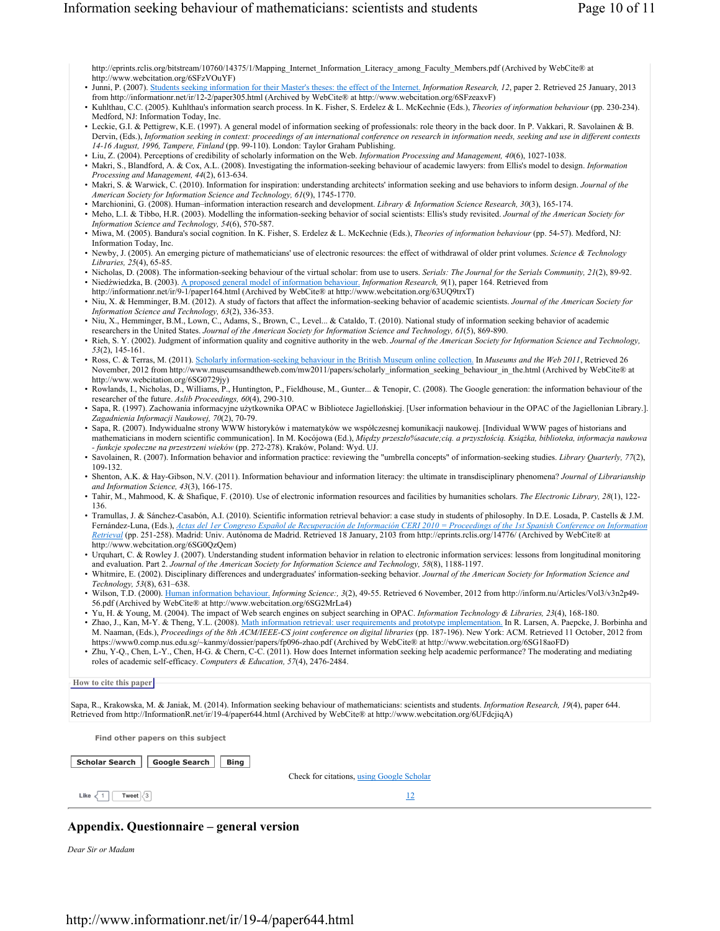http://eprints.rclis.org/bitstream/10760/14375/1/Mapping\_Internet\_Information\_Literacy\_among\_Faculty\_Members.pdf (Archived by WebCite® at http://www.webcitation.org/6SFzVOuYF)

- Junni, P. (2007). Students seeking information for their Master's theses: the effect of the Internet. *Information Research, 12*, paper 2. Retrieved 25 January, 2013 from http://informationr.net/ir/12-2/paper305.html (Archived by WebCite® at http://www.webcitation.org/6SFzeaxvF)
- Kuhlthau, C.C. (2005). Kuhlthau's information search process. In K. Fisher, S. Erdelez & L. McKechnie (Eds.), *Theories of information behaviour* (pp. 230-234). Medford, NJ: Information Today, Inc.
- Leckie, G.I. & Pettigrew, K.E. (1997). A general model of information seeking of professionals: role theory in the back door. In P. Vakkari, R. Savolainen & B. Dervin, (Eds.), *Information seeking in context: proceedings of an international conference on research in information needs, seeking and use in different contexts 14-16 August, 1996, Tampere, Finland* (pp. 99-110). London: Taylor Graham Publishing.
- Liu, Z. (2004). Perceptions of credibility of scholarly information on the Web. *Information Processing and Management, 40*(6), 1027-1038.
- Makri, S., Blandford, A. & Cox, A.L. (2008). Investigating the information-seeking behaviour of academic lawyers: from Ellis's model to design. *Information Processing and Management, 44*(2), 613-634.
- Makri, S. & Warwick, C. (2010). Information for inspiration: understanding architects' information seeking and use behaviors to inform design. *Journal of the American Society for Information Science and Technology, 61*(9), 1745-1770.
- Marchionini, G. (2008). Human–information interaction research and development. *Library & Information Science Research, 30*(3), 165-174.
- Meho, L.I. & Tibbo, H.R. (2003). Modelling the information-seeking behavior of social scientists: Ellis's study revisited. *Journal of the American Society for Information Science and Technology, 54*(6), 570-587.
- Miwa, M. (2005). Bandura's social cognition. In K. Fisher, S. Erdelez & L. McKechnie (Eds.), *Theories of information behaviour* (pp. 54-57). Medford, NJ: Information Today, Inc.
- Newby, J. (2005). An emerging picture of mathematicians' use of electronic resources: the effect of withdrawal of older print volumes. *Science & Technology Libraries, 25*(4), 65-85.
- Nicholas, D. (2008). The information-seeking behaviour of the virtual scholar: from use to users. *Serials: The Journal for the Serials Community, 21*(2), 89-92. • Niedźwiedzka, B. (2003). A proposed general model of information behaviour. *Information Research, 9*(1), paper 164. Retrieved from
- http://informationr.net/ir/9-1/paper164.html (Archived by WebCite® at http://www.webcitation.org/63UQ9trxT)
- Niu, X. & Hemminger, B.M. (2012). A study of factors that affect the information-seeking behavior of academic scientists. *Journal of the American Society for Information Science and Technology, 63*(2), 336-353.
- Niu, X., Hemminger, B.M., Lown, C., Adams, S., Brown, C., Level... & Cataldo, T. (2010). National study of information seeking behavior of academic researchers in the United States. *Journal of the American Society for Information Science and Technology, 61*(5), 869-890.
- Rieh, S. Y. (2002). Judgment of information quality and cognitive authority in the web. *Journal of the American Society for Information Science and Technology, 53*(2), 145-161.
- Ross, C. & Terras, M. (2011). Scholarly information-seeking behaviour in the British Museum online collection. In *Museums and the Web 2011*, Retrieved 26 November, 2012 from http://www.museumsandtheweb.com/mw2011/papers/scholarly\_information\_seeking\_behaviour\_in\_the.html (Archived by WebCite® at http://www.webcitation.org/6SG0729jy)
- Rowlands, I., Nicholas, D., Williams, P., Huntington, P., Fieldhouse, M., Gunter... & Tenopir, C. (2008). The Google generation: the information behaviour of the researcher of the future. *Aslib Proceedings, 60*(4), 290-310.
- Sapa, R. (1997). Zachowania informacyjne użytkownika OPAC w Bibliotece Jagiellońskiej. [User information behaviour in the OPAC of the Jagiellonian Library.]. *Zagadnienia Informacji Naukowej, 70*(2), 70-79.
- Sapa, R. (2007). Indywidualne strony WWW historyków i matematyków we współczesnej komunikacji naukowej. [Individual WWW pages of historians and mathematicians in modern scientific communication]. In M. Kocójowa (Ed.), Między przeszło%sacute;cia. a przyszłościa. Książka, biblioteka, informacja naukowa *- funkcje społeczne na przestrzeni wieków* (pp. 272-278). Kraków, Poland: Wyd. UJ.
- Savolainen, R. (2007). Information behavior and information practice: reviewing the "umbrella concepts" of information-seeking studies. *Library Quarterly, 77*(2), 109-132.
- Shenton, A.K. & Hay-Gibson, N.V. (2011). Information behaviour and information literacy: the ultimate in transdisciplinary phenomena? *Journal of Librarianship and Information Science, 43*(3), 166-175.
- Tahir, M., Mahmood, K. & Shafique, F. (2010). Use of electronic information resources and facilities by humanities scholars. *The Electronic Library, 28*(1), 122- 136.
- Tramullas, J. & Sánchez-Casabón, A.I. (2010). Scientific information retrieval behavior: a case study in students of philosophy. In D.E. Losada, P. Castells & J.M. Fernández-Luna, (Eds.), *Actas del 1er Congreso Español de Recuperación de Información CERI 2010 = Proceedings of the 1st Spanish Conference on Information Retrieval* (pp. 251-258). Madrid: Univ. Autónoma de Madrid. Retrieved 18 January, 2103 from http://eprints.rclis.org/14776/ (Archived by WebCite® at http://www.webcitation.org/6SG0QzQem)
- Urquhart, C. & Rowley J. (2007). Understanding student information behavior in relation to electronic information services: lessons from longitudinal monitoring and evaluation. Part 2. *Journal of the American Society for Information Science and Technology, 58*(8), 1188-1197.
- Whitmire, E. (2002). Disciplinary differences and undergraduates' information-seeking behavior. *Journal of the American Society for Information Science and Technology, 53*(8), 631–638.
- Wilson, T.D. (2000). Human information behaviour. *Informing Science:, 3*(2), 49-55. Retrieved 6 November, 2012 from http://inform.nu/Articles/Vol3/v3n2p49- 56.pdf (Archived by WebCite® at http://www.webcitation.org/6SG2MrLa4)
- Yu, H. & Young, M. (2004). The impact of Web search engines on subject searching in OPAC. *Information Technology & Libraries, 23*(4), 168-180.
- Zhao, J., Kan, M-Y. & Theng, Y.L. (2008). Math information retrieval: user requirements and prototype implementation. In R. Larsen, A. Paepcke, J. Borbinha and M. Naaman, (Eds.), Proceedings of the 8th ACM/IEEE-CS joint conference on digital libraries (pp. 187-196). New York: ACM. Retrieved 11 October, 2012 from https://www0.comp.nus.edu.sg/~kanmy/dossier/papers/fp096-zhao.pdf (Archived by WebCite® at http://www.webcitation.org/6SG18aoFD)
- Zhu, Y-Q., Chen, L-Y., Chen, H-G. & Chern, C-C. (2011). How does Internet information seeking help academic performance? The moderating and mediating roles of academic self-efficacy. *Computers & Education, 57*(4), 2476-2484.

#### **How to cite this paper**

Sapa, R., Krakowska, M. & Janiak, M. (2014). Information seeking behaviour of mathematicians: scientists and students. *Information Research, 19*(4), paper 644. Retrieved from http://InformationR.net/ir/19-4/paper644.html (Archived by WebCite® at http://www.webcitation.org/6UFdcjiqA)

**Find other papers on this subject**

| Scholar Search   Google Search   Bing |  |
|---------------------------------------|--|

Check for citations, using Google Scholar

```
Like \langle 1 | Tweet \langle 3 |
```
12

# **Appendix. Questionnaire – general version**

*Dear Sir or Madam*